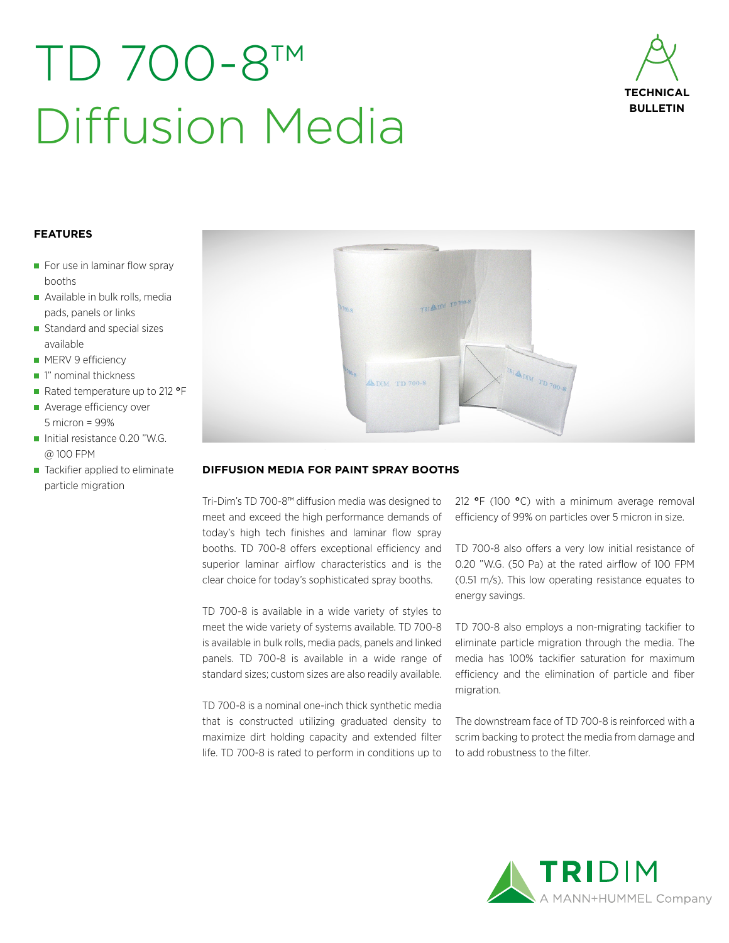## TD 700-8™ Diffusion Media



### **FEATURES**

- $\blacksquare$  For use in laminar flow spray booths
- Available in bulk rolls, media pads, panels or links
- Standard and special sizes available
- **MERV 9 efficiency**
- 1" nominal thickness
- Rated temperature up to 212 °F
- Average efficiency over 5 micron = 99%
- Initial resistance  $0.20$  "W.G. @ 100 FPM
- Tackifier applied to eliminate particle migration



#### **DIFFUSION MEDIA FOR PAINT SPRAY BOOTHS**

Tri-Dim's TD 700-8™ diffusion media was designed to meet and exceed the high performance demands of today's high tech finishes and laminar flow spray booths. TD 700-8 offers exceptional efficiency and superior laminar airflow characteristics and is the clear choice for today's sophisticated spray booths.

TD 700-8 is available in a wide variety of styles to meet the wide variety of systems available. TD 700-8 is available in bulk rolls, media pads, panels and linked panels. TD 700-8 is available in a wide range of standard sizes; custom sizes are also readily available.

TD 700-8 is a nominal one-inch thick synthetic media that is constructed utilizing graduated density to maximize dirt holding capacity and extended filter life. TD 700-8 is rated to perform in conditions up to 212 **°**F (100 **°**C) with a minimum average removal efficiency of 99% on particles over 5 micron in size.

TD 700-8 also offers a very low initial resistance of 0.20 "W.G. (50 Pa) at the rated airflow of 100 FPM (0.51 m/s). This low operating resistance equates to energy savings.

TD 700-8 also employs a non-migrating tackifier to eliminate particle migration through the media. The media has 100% tackifier saturation for maximum efficiency and the elimination of particle and fiber migration.

The downstream face of TD 700-8 is reinforced with a scrim backing to protect the media from damage and to add robustness to the filter.